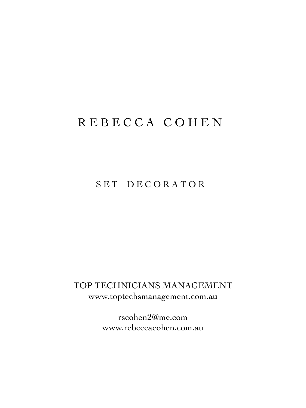# R E B E C C A C O H E N

## SET DECORATOR

TOP TECHNICIANS MANAGEMENT www.toptechsmanagement.com.au

> rscohen2@me.com www.rebeccacohen.com.au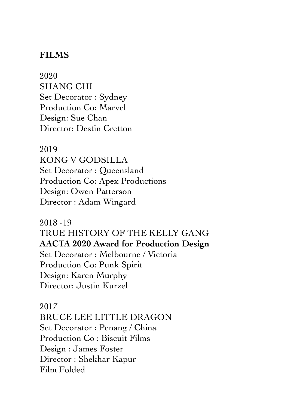2020 SHANG CHI Set Decorator : Sydney Production Co: Marvel Design: Sue Chan Director: Destin Cretton

2019 KONG V GODSILLA Set Decorator : Queensland Production Co: Apex Productions Design: Owen Patterson Director : Adam Wingard

2018 -19 TRUE HISTORY OF THE KELLY GANG **AACTA 2020 Award for Production Design**  Set Decorator : Melbourne / Victoria Production Co: Punk Spirit Design: Karen Murphy Director: Justin Kurzel

2017 BRUCE LEE LITTLE DRAGON Set Decorator : Penang / China Production Co : Biscuit Films Design : James Foster Director : Shekhar Kapur Film Folded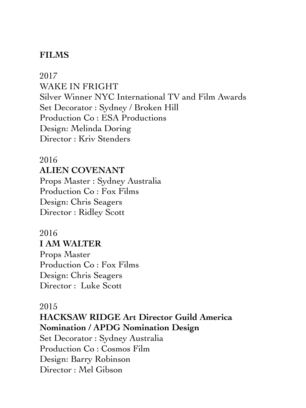2017 WAKE IN FRIGHT Silver Winner NYC International TV and Film Awards Set Decorator : Sydney / Broken Hill Production Co : ESA Productions Design: Melinda Doring Director : Kriv Stenders

#### 2016

#### **ALIEN COVENANT**

Props Master : Sydney Australia Production Co : Fox Films Design: Chris Seagers Director : Ridley Scott

# 2016

#### **I AM WALTER**  Props Master

Production Co : Fox Films Design: Chris Seagers Director : Luke Scott

#### 2015

**HACKSAW RIDGE Art Director Guild America Nomination / APDG Nomination Design** 

Set Decorator : Sydney Australia Production Co : Cosmos Film Design: Barry Robinson Director : Mel Gibson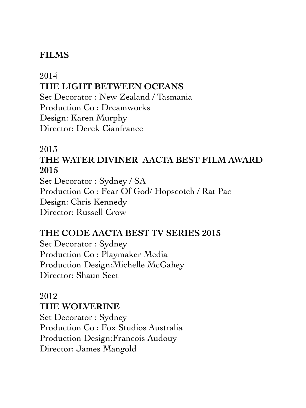#### 2014 **THE LIGHT BETWEEN OCEANS** Set Decorator : New Zealand / Tasmania Production Co : Dreamworks Design: Karen Murphy

Director: Derek Cianfrance

## 2013

## **THE WATER DIVINER AACTA BEST FILM AWARD 2015**

Set Decorator : Sydney / SA Production Co : Fear Of God/ Hopscotch / Rat Pac Design: Chris Kennedy Director: Russell Crow

## **THE CODE AACTA BEST TV SERIES 2015**

Set Decorator : Sydney Production Co : Playmaker Media Production Design:Michelle McGahey Director: Shaun Seet

#### 2012 **THE WOLVERINE**

Set Decorator : Sydney Production Co : Fox Studios Australia Production Design:Francois Audouy Director: James Mangold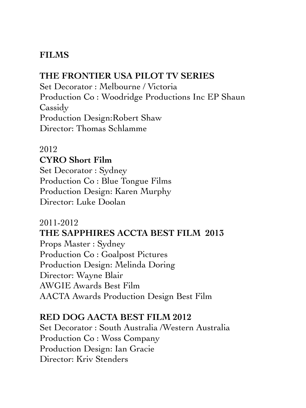#### **THE FRONTIER USA PILOT TV SERIES**

Set Decorator : Melbourne / Victoria Production Co : Woodridge Productions Inc EP Shaun Cassidy Production Design:Robert Shaw Director: Thomas Schlamme

#### 2012 **CYRO Short Film**

Set Decorator : Sydney Production Co : Blue Tongue Films Production Design: Karen Murphy Director: Luke Doolan

#### 2011-2012

## **THE SAPPHIRES ACCTA BEST FILM 2013**

Props Master : Sydney Production Co : Goalpost Pictures Production Design: Melinda Doring Director: Wayne Blair AWGIE Awards Best Film AACTA Awards Production Design Best Film

#### **RED DOG AACTA BEST FILM 2012**

Set Decorator : South Australia /Western Australia Production Co : Woss Company Production Design: Ian Gracie Director: Kriv Stenders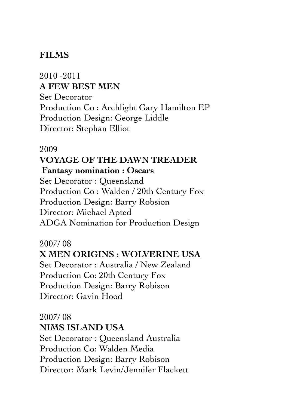## 2010 -2011 **A FEW BEST MEN**  Set Decorator Production Co : Archlight Gary Hamilton EP Production Design: George Liddle

Director: Stephan Elliot

#### 2009 **VOYAGE OF THE DAWN TREADER**

# **Fantasy nomination : Oscars**

Set Decorator : Queensland Production Co : Walden / 20th Century Fox Production Design: Barry Robsion Director: Michael Apted ADGA Nomination for Production Design

## 2007/ 08

## **X MEN ORIGINS : WOLVERINE USA**

Set Decorator : Australia / New Zealand Production Co: 20th Century Fox Production Design: Barry Robison Director: Gavin Hood

#### 2007/ 08 **NIMS ISLAND USA**

Set Decorator : Queensland Australia Production Co: Walden Media Production Design: Barry Robison Director: Mark Levin/Jennifer Flackett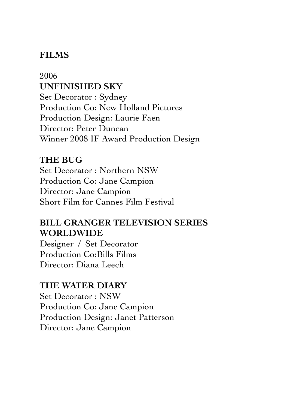### 2006 **UNFINISHED SKY**  Set Decorator : Sydney Production Co: New Holland Pictures Production Design: Laurie Faen Director: Peter Duncan Winner 2008 IF Award Production Design

#### **THE BUG**

Set Decorator : Northern NSW Production Co: Jane Campion Director: Jane Campion Short Film for Cannes Film Festival

## **BILL GRANGER TELEVISION SERIES WORLDWIDE**

Designer / Set Decorator Production Co:Bills Films Director: Diana Leech

#### **THE WATER DIARY**

Set Decorator : NSW Production Co: Jane Campion Production Design: Janet Patterson Director: Jane Campion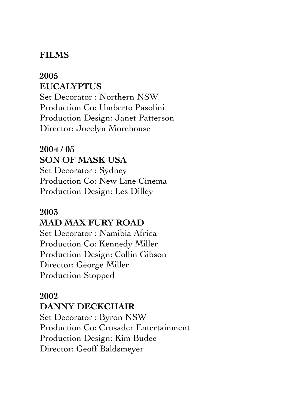#### **2005 EUCALYPTUS**

Set Decorator : Northern NSW Production Co: Umberto Pasolini Production Design: Janet Patterson Director: Jocelyn Morehouse

# **2004 / 05 SON OF MASK USA**

Set Decorator : Sydney Production Co: New Line Cinema Production Design: Les Dilley

#### **2003 MAD MAX FURY ROAD**

Set Decorator : Namibia Africa Production Co: Kennedy Miller Production Design: Collin Gibson Director: George Miller Production Stopped

#### **2002**

#### **DANNY DECKCHAIR**

Set Decorator : Byron NSW Production Co: Crusader Entertainment Production Design: Kim Budee Director: Geoff Baldsmeyer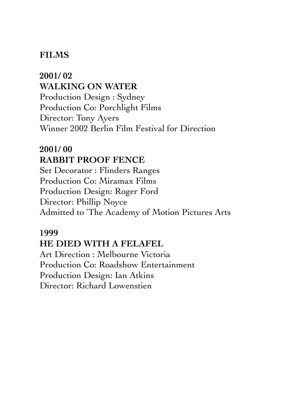**2001/ 02 WALKING ON WATER** Production Design : Sydney Production Co: Porchlight Films Director: Tony Ayers Winner 2002 Berlin Film Festival for Direction

## **2001/ 00 RABBIT PROOF FENCE**

Set Decorator : Flinders Ranges Production Co: Miramax Films Production Design: Roger Ford Director: Phillip Noyce Admitted to 'The Academy of Motion Pictures Arts

## **1999 HE DIED WITH A FELAFEL**

Art Direction : Melbourne Victoria Production Co: Roadshow Entertainment Production Design: Ian Atkins Director: Richard Lowenstien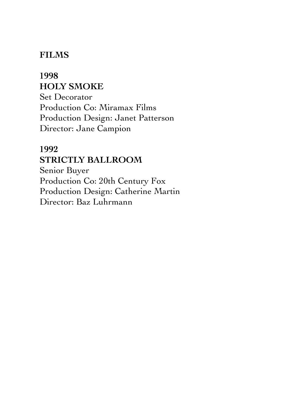## **1998 HOLY SMOKE** Set Decorator Production Co: Miramax Films Production Design: Janet Patterson Director: Jane Campion

## **1992 STRICTLY BALLROOM**

Senior Buyer Production Co: 20th Century Fox Production Design: Catherine Martin Director: Baz Luhrmann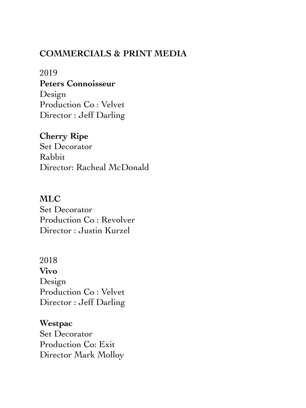#### **COMMERCIALS & PRINT MEDIA**

2019 **Peters Connoisseur**  Design Production Co : Velvet Director : Jeff Darling

**Cherry Ripe**  Set Decorator Rabbit Director: Racheal McDonald

**MLC** Set Decorator Production Co : Revolver Director : Justin Kurzel

2018 **Vivo**  Design Production Co : Velvet Director : Jeff Darling

**Westpac**  Set Decorator Production Co: Exit Director Mark Molloy